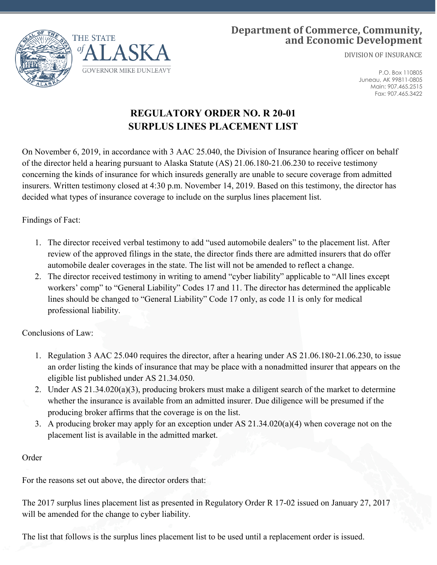

## **Department of Commerce, Community, and Economic Development**

DIVISION OF INSURANCE

P.O. Box 110805 Juneau, AK 99811-0805 Main: 907.465.2515 Fax: 907.465.3422

## **REGULATORY ORDER NO. R 20-01 SURPLUS LINES PLACEMENT LIST**

On November 6, 2019, in accordance with 3 AAC 25.040, the Division of Insurance hearing officer on behalf of the director held a hearing pursuant to Alaska Statute (AS) 21.06.180-21.06.230 to receive testimony concerning the kinds of insurance for which insureds generally are unable to secure coverage from admitted insurers. Written testimony closed at 4:30 p.m. November 14, 2019. Based on this testimony, the director has decided what types of insurance coverage to include on the surplus lines placement list.

Findings of Fact:

- 1. The director received verbal testimony to add "used automobile dealers" to the placement list. After review of the approved filings in the state, the director finds there are admitted insurers that do offer automobile dealer coverages in the state. The list will not be amended to reflect a change.
- 2. The director received testimony in writing to amend "cyber liability" applicable to "All lines except workers' comp" to "General Liability" Codes 17 and 11. The director has determined the applicable lines should be changed to "General Liability" Code 17 only, as code 11 is only for medical professional liability.

Conclusions of Law:

- 1. Regulation 3 AAC 25.040 requires the director, after a hearing under AS 21.06.180-21.06.230, to issue an order listing the kinds of insurance that may be place with a nonadmitted insurer that appears on the eligible list published under AS 21.34.050.
- 2. Under AS 21.34.020(a)(3), producing brokers must make a diligent search of the market to determine whether the insurance is available from an admitted insurer. Due diligence will be presumed if the producing broker affirms that the coverage is on the list.
- 3. A producing broker may apply for an exception under AS 21.34.020(a)(4) when coverage not on the placement list is available in the admitted market.

## Order

For the reasons set out above, the director orders that:

The 2017 surplus lines placement list as presented in Regulatory Order R 17-02 issued on January 27, 2017 will be amended for the change to cyber liability.

The list that follows is the surplus lines placement list to be used until a replacement order is issued.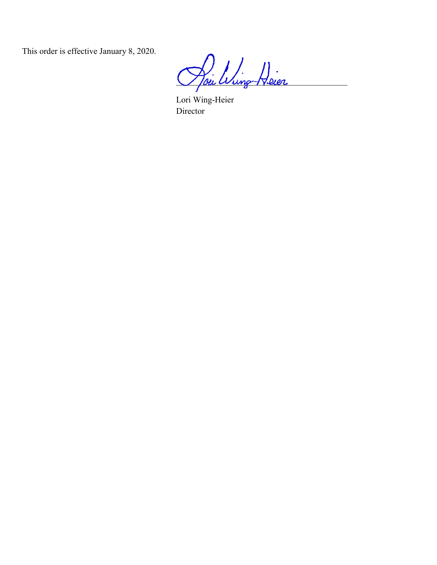This order is effective January 8, 2020.

Poi Wing Heier

Lori Wing-Heier Director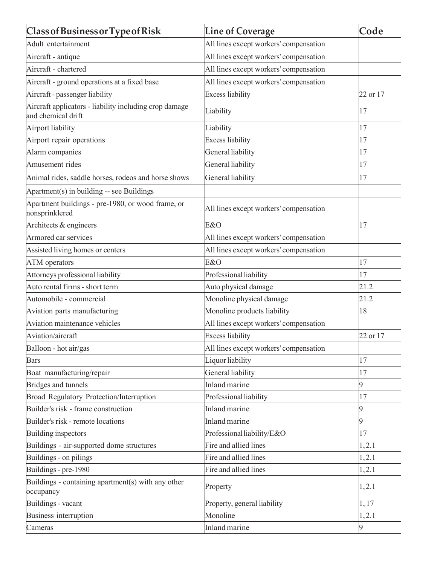| Class of Business or Type of Risk                                            | <b>Line of Coverage</b>                | Code     |
|------------------------------------------------------------------------------|----------------------------------------|----------|
| Adult entertainment                                                          | All lines except workers' compensation |          |
| Aircraft - antique                                                           | All lines except workers' compensation |          |
| Aircraft - chartered                                                         | All lines except workers' compensation |          |
| Aircraft - ground operations at a fixed base                                 | All lines except workers' compensation |          |
| Aircraft - passenger liability                                               | <b>Excess liability</b>                | 22 or 17 |
| Aircraft applicators - liability including crop damage<br>and chemical drift | Liability                              | 17       |
| Airport liability                                                            | Liability                              | 17       |
| Airport repair operations                                                    | <b>Excess liability</b>                | 17       |
| Alarm companies                                                              | General liability                      | 17       |
| Amusement rides                                                              | General liability                      | 17       |
| Animal rides, saddle horses, rodeos and horse shows                          | General liability                      | 17       |
| Apartment(s) in building -- see Buildings                                    |                                        |          |
| Apartment buildings - pre-1980, or wood frame, or<br>nonsprinklered          | All lines except workers' compensation |          |
| Architects & engineers                                                       | E&O                                    | 17       |
| Armored car services                                                         | All lines except workers' compensation |          |
| Assisted living homes or centers                                             | All lines except workers' compensation |          |
| <b>ATM</b> operators                                                         | E&O                                    | 17       |
| Attorneys professional liability                                             | Professional liability                 | 17       |
| Auto rental firms - short term                                               | Auto physical damage                   | 21.2     |
| Automobile - commercial                                                      | Monoline physical damage               | 21.2     |
| Aviation parts manufacturing                                                 | Monoline products liability            | 18       |
| Aviation maintenance vehicles                                                | All lines except workers' compensation |          |
| Aviation/aircraft                                                            | <b>Excess liability</b>                | 22 or 17 |
| Balloon - hot air/gas                                                        | All lines except workers' compensation |          |
| <b>Bars</b>                                                                  | Liquor liability                       | 17       |
| Boat manufacturing/repair                                                    | General liability                      | 17       |
| Bridges and tunnels                                                          | Inland marine                          | 9        |
| Broad Regulatory Protection/Interruption                                     | Professional liability                 | 17       |
| Builder's risk - frame construction                                          | <b>Inland</b> marine                   |          |
| Builder's risk - remote locations                                            | <b>Inland</b> marine                   | 9        |
| Building inspectors                                                          | Professional liability/E&O             | 17       |
| Buildings - air-supported dome structures                                    | Fire and allied lines                  | 1,2.1    |
| Buildings - on pilings                                                       | Fire and allied lines                  | 1,2.1    |
| Buildings - pre-1980                                                         | Fire and allied lines                  | 1,2.1    |
| Buildings - containing apartment(s) with any other<br>occupancy              | Property                               | 1,2.1    |
| Buildings - vacant                                                           | Property, general liability            | 1,17     |
| Business interruption                                                        | Monoline                               | 1, 2.1   |
| Cameras                                                                      | Inland marine                          | <b>g</b> |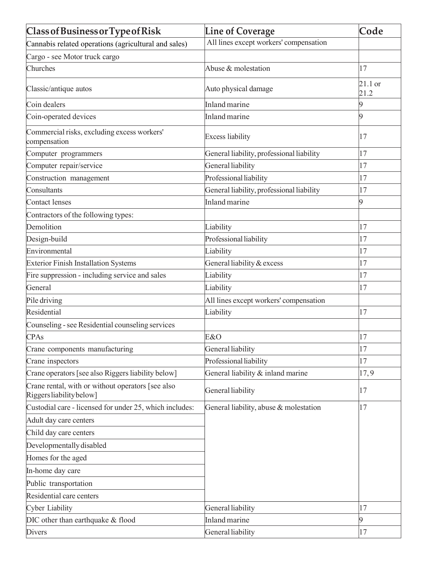| <b>Class of Business or Type of Risk</b>                                      | <b>Line of Coverage</b>                   | Code            |
|-------------------------------------------------------------------------------|-------------------------------------------|-----------------|
| Cannabis related operations (agricultural and sales)                          | All lines except workers' compensation    |                 |
| Cargo - see Motor truck cargo                                                 |                                           |                 |
| Churches                                                                      | Abuse & molestation                       | 17              |
| Classic/antique autos                                                         | Auto physical damage                      | 21.1 or<br>21.2 |
| Coin dealers                                                                  | Inland marine                             | 9               |
| Coin-operated devices                                                         | Inland marine                             | 9               |
| Commercial risks, excluding excess workers'<br>compensation                   | <b>Excess liability</b>                   | 17              |
| Computer programmers                                                          | General liability, professional liability | 17              |
| Computer repair/service                                                       | General liability                         | 17              |
| Construction management                                                       | Professional liability                    | 17              |
| Consultants                                                                   | General liability, professional liability | 17              |
| Contact lenses                                                                | Inland marine                             | 9               |
| Contractors of the following types:                                           |                                           |                 |
| Demolition                                                                    | Liability                                 | 17              |
| Design-build                                                                  | Professional liability                    | 17              |
| Environmental                                                                 | Liability                                 | 17              |
| <b>Exterior Finish Installation Systems</b>                                   | General liability & excess                | 17              |
| Fire suppression - including service and sales                                | Liability                                 | 17              |
| General                                                                       | Liability                                 | 17              |
| Pile driving                                                                  | All lines except workers' compensation    |                 |
| Residential                                                                   | Liability                                 | 17              |
| Counseling - see Residential counseling services                              |                                           |                 |
| <b>CPAs</b>                                                                   | E&O                                       | 17              |
| Crane components manufacturing                                                | General liability                         | 17              |
| Crane inspectors                                                              | Professional liability                    | 17              |
| Crane operators [see also Riggers liability below]                            | General liability & inland marine         | 17,9            |
| Crane rental, with or without operators [see also<br>Riggers liability below] | General liability                         | 17              |
| Custodial care - licensed for under 25, which includes:                       | General liability, abuse & molestation    | 17              |
| Adult day care centers                                                        |                                           |                 |
| Child day care centers                                                        |                                           |                 |
| Developmentally disabled                                                      |                                           |                 |
| Homes for the aged                                                            |                                           |                 |
| In-home day care                                                              |                                           |                 |
| Public transportation                                                         |                                           |                 |
| Residential care centers                                                      |                                           |                 |
| Cyber Liability                                                               | General liability                         | 17              |
| DIC other than earthquake & flood                                             | Inland marine                             | 9               |
| Divers                                                                        | General liability                         | 17              |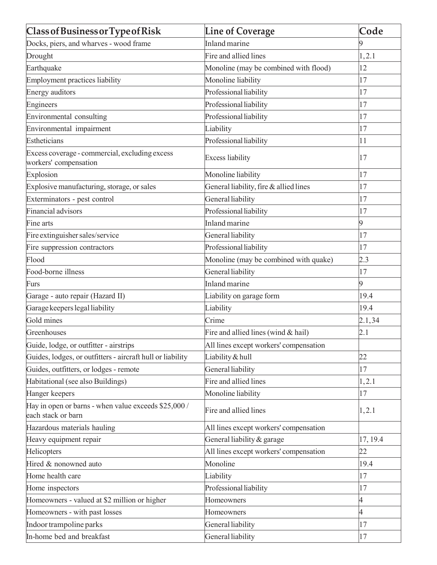| <b>Class of Business or Type of Risk</b>                                   | <b>Line of Coverage</b>                | Code     |
|----------------------------------------------------------------------------|----------------------------------------|----------|
| Docks, piers, and wharves - wood frame                                     | Inland marine                          | 9        |
| Drought                                                                    | Fire and allied lines                  | 1, 2.1   |
| Earthquake                                                                 | Monoline (may be combined with flood)  | 12       |
| Employment practices liability                                             | Monoline liability                     | 17       |
| Energy auditors                                                            | Professional liability                 | 17       |
| Engineers                                                                  | Professional liability                 | 17       |
| Environmental consulting                                                   | Professional liability                 | 17       |
| Environmental impairment                                                   | Liability                              | 17       |
| Estheticians                                                               | Professional liability                 | 11       |
| Excess coverage - commercial, excluding excess<br>workers' compensation    | <b>Excess liability</b>                | 17       |
| Explosion                                                                  | Monoline liability                     | 17       |
| Explosive manufacturing, storage, or sales                                 | General liability, fire & allied lines | 17       |
| Exterminators - pest control                                               | General liability                      | 17       |
| Financial advisors                                                         | Professional liability                 | 17       |
| Fine arts                                                                  | Inland marine                          | 9        |
| Fire extinguisher sales/service                                            | General liability                      | 17       |
| Fire suppression contractors                                               | Professional liability                 | 17       |
| Flood                                                                      | Monoline (may be combined with quake)  | 2.3      |
| Food-borne illness                                                         | General liability                      | 17       |
| Furs                                                                       | Inland marine                          | 9        |
| Garage - auto repair (Hazard II)                                           | Liability on garage form               | 19.4     |
| Garage keepers legal liability                                             | Liability                              | 19.4     |
| Gold mines                                                                 | Crime                                  | 2.1, 34  |
| Greenhouses                                                                | Fire and allied lines (wind & hail)    | 2.1      |
| Guide, lodge, or outfitter - airstrips                                     | All lines except workers' compensation |          |
| Guides, lodges, or outfitters - aircraft hull or liability                 | Liability & hull                       | 22       |
| Guides, outfitters, or lodges - remote                                     | General liability                      | 17       |
| Habitational (see also Buildings)                                          | Fire and allied lines                  | 1, 2.1   |
| Hanger keepers                                                             | Monoline liability                     | 17       |
| Hay in open or barns - when value exceeds \$25,000 /<br>each stack or barn | Fire and allied lines                  | 1, 2.1   |
| Hazardous materials hauling                                                | All lines except workers' compensation |          |
| Heavy equipment repair                                                     | General liability & garage             | 17, 19.4 |
| Helicopters                                                                | All lines except workers' compensation | 22       |
| Hired & nonowned auto                                                      | Monoline                               | 19.4     |
| Home health care                                                           | Liability                              | 17       |
| Home inspectors                                                            | Professional liability                 | 17       |
| Homeowners - valued at \$2 million or higher                               | Homeowners                             | 4        |
| Homeowners - with past losses                                              | Homeowners                             | 4        |
| Indoor trampoline parks                                                    | General liability                      | 17       |
| In-home bed and breakfast                                                  | General liability                      | 17       |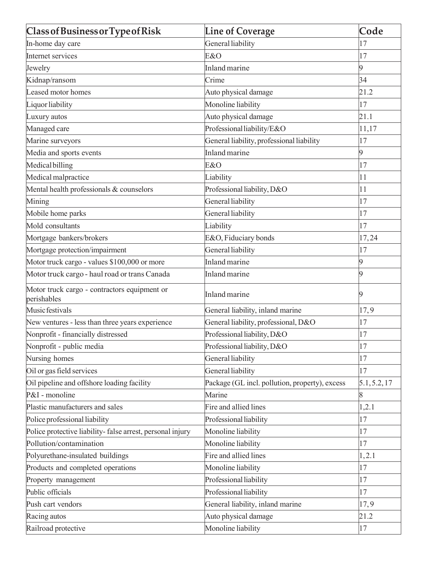| <b>Class of Business or Type of Risk</b>                    | <b>Line of Coverage</b>                        | Code         |
|-------------------------------------------------------------|------------------------------------------------|--------------|
| In-home day care                                            | General liability                              | 17           |
| Internet services                                           | E&O                                            | 17           |
| Jewelry                                                     | Inland marine                                  | 9            |
| Kidnap/ransom                                               | Crime                                          | 34           |
| Leased motor homes                                          | Auto physical damage                           | 21.2         |
| Liquor liability                                            | Monoline liability                             | 17           |
| Luxury autos                                                | Auto physical damage                           | 21.1         |
| Managed care                                                | Professional liability/E&O                     | 11,17        |
| Marine surveyors                                            | General liability, professional liability      | 17           |
| Media and sports events                                     | Inland marine                                  | 9            |
| Medical billing                                             | E&O                                            | 17           |
| Medical malpractice                                         | Liability                                      | 11           |
| Mental health professionals & counselors                    | Professional liability, D&O                    | 11           |
| Mining                                                      | General liability                              | 17           |
| Mobile home parks                                           | General liability                              | 17           |
| Mold consultants                                            | Liability                                      | 17           |
| Mortgage bankers/brokers                                    | E&O, Fiduciary bonds                           | 17,24        |
| Mortgage protection/impairment                              | General liability                              | 17           |
| Motor truck cargo - values \$100,000 or more                | Inland marine                                  | 9            |
| Motor truck cargo - haul road or trans Canada               | Inland marine                                  | 9            |
| Motor truck cargo - contractors equipment or<br>perishables | Inland marine                                  | 9            |
| Music festivals                                             | General liability, inland marine               | 17,9         |
| New ventures - less than three years experience             | General liability, professional, D&O           | 17           |
| Nonprofit - financially distressed                          | Professional liability, D&O                    | 17           |
| Nonprofit - public media                                    | Professional liability, D&O                    | 17           |
| Nursing homes                                               | General liability                              | 17           |
| Oil or gas field services                                   | General liability                              | 17           |
| Oil pipeline and offshore loading facility                  | Package (GL incl. pollution, property), excess | 5.1, 5.2, 17 |
| P&I - monoline                                              | Marine                                         | 8            |
| Plastic manufacturers and sales                             | Fire and allied lines                          | 1,2.1        |
| Police professional liability                               | Professional liability                         | 17           |
| Police protective liability-false arrest, personal injury   | Monoline liability                             | 17           |
| Pollution/contamination                                     | Monoline liability                             | 17           |
| Polyurethane-insulated buildings                            | Fire and allied lines                          | 1, 2.1       |
| Products and completed operations                           | Monoline liability                             | 17           |
| Property management                                         | Professional liability                         | 17           |
| Public officials                                            | Professional liability                         | 17           |
| Push cart vendors                                           | General liability, inland marine               | 17,9         |
| Racing autos                                                | Auto physical damage                           | 21.2         |
| Railroad protective                                         | Monoline liability                             | 17           |